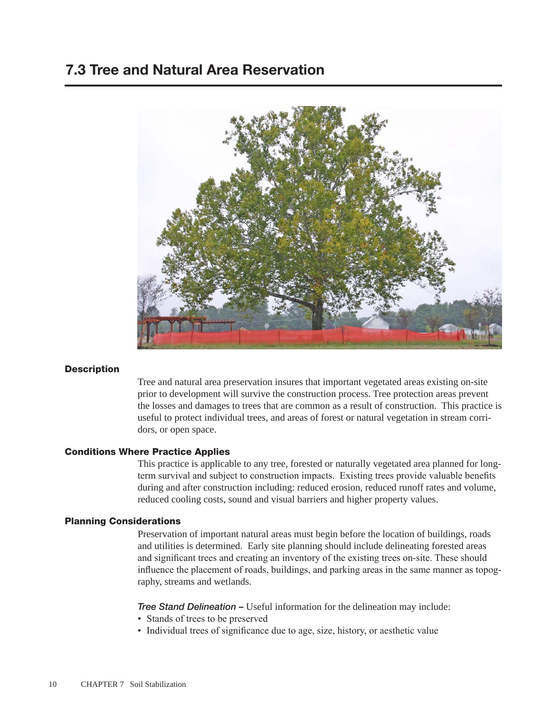## 7.3 Tree and Natural Area Reservation



#### **Description**

Tree and natural area preservation insures that important vegetated areas existing on-site prior to development will survive the construction process. Tree protection areas prevent the losses and damages to trees that are common as a result of construction. This practice is useful to protect individual trees, and areas of forest or natural vegetation in stream corridors, or open space.

#### Conditions Where Practice Applies

This practice is applicable to any tree, forested or naturally vegetated area planned for longterm survival and subject to construction impacts. Existing trees provide valuable benefits during and after construction including: reduced erosion, reduced runoff rates and volume, reduced cooling costs, sound and visual barriers and higher property values.

#### Planning Considerations

Preservation of important natural areas must begin before the location of buildings, roads and utilities is determined. Early site planning should include delineating forested areas and significant trees and creating an inventory of the existing trees on-site. These should influence the placement of roads, buildings, and parking areas in the same manner as topography, streams and wetlands.

*Tree Stand Delineation –* Useful information for the delineation may include:

- Stands of trees to be preserved
- Individual trees of significance due to age, size, history, or aesthetic value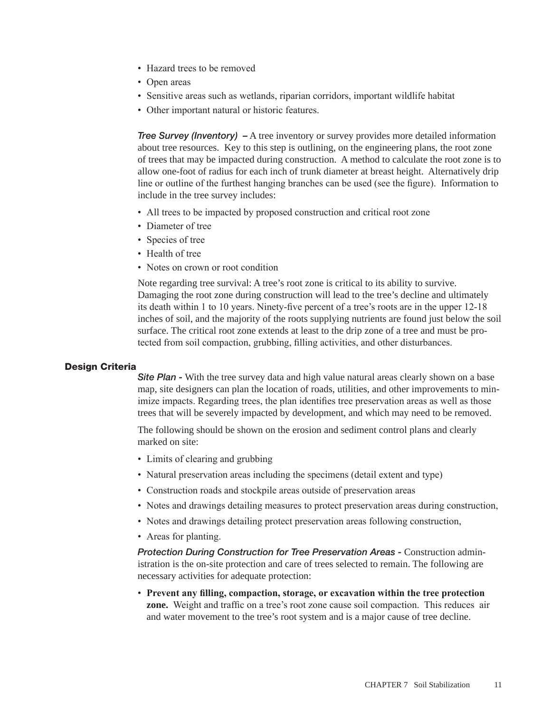- Hazard trees to be removed
- Open areas
- Sensitive areas such as wetlands, riparian corridors, important wildlife habitat
- Other important natural or historic features.

*Tree Survey (Inventory)* – A tree inventory or survey provides more detailed information about tree resources. Key to this step is outlining, on the engineering plans, the root zone of trees that may be impacted during construction. A method to calculate the root zone is to allow one-foot of radius for each inch of trunk diameter at breast height. Alternatively drip line or outline of the furthest hanging branches can be used (see the figure). Information to include in the tree survey includes:

- All trees to be impacted by proposed construction and critical root zone
- Diameter of tree
- Species of tree
- Health of tree
- Notes on crown or root condition

Note regarding tree survival: A tree's root zone is critical to its ability to survive. Damaging the root zone during construction will lead to the tree's decline and ultimately its death within 1 to 10 years. Ninety-five percent of a tree's roots are in the upper 12-18 inches of soil, and the majority of the roots supplying nutrients are found just below the soil surface. The critical root zone extends at least to the drip zone of a tree and must be protected from soil compaction, grubbing, filling activities, and other disturbances.

#### Design Criteria

**Site Plan -** With the tree survey data and high value natural areas clearly shown on a base map, site designers can plan the location of roads, utilities, and other improvements to minimize impacts. Regarding trees, the plan identifies tree preservation areas as well as those trees that will be severely impacted by development, and which may need to be removed.

The following should be shown on the erosion and sediment control plans and clearly marked on site:

- Limits of clearing and grubbing
- Natural preservation areas including the specimens (detail extent and type)
- Construction roads and stockpile areas outside of preservation areas
- Notes and drawings detailing measures to protect preservation areas during construction,
- Notes and drawings detailing protect preservation areas following construction,
- Areas for planting.

*Protection During Construction for Tree Preservation Areas -* Construction administration is the on-site protection and care of trees selected to remain. The following are necessary activities for adequate protection:

• **Prevent any filling, compaction, storage, or excavation within the tree protection zone.** Weight and traffic on a tree's root zone cause soil compaction. This reduces air and water movement to the tree's root system and is a major cause of tree decline.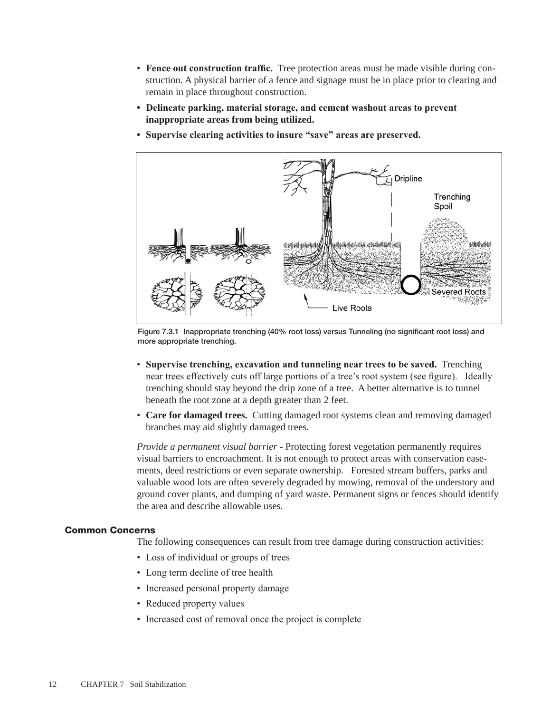- **Fence out construction traffic.** Tree protection areas must be made visible during construction. A physical barrier of a fence and signage must be in place prior to clearing and remain in place throughout construction.
- **• Delineate parking, material storage, and cement washout areas to prevent inappropriate areas from being utilized.**
- **• Supervise clearing activities to insure "save" areas are preserved.**



Figure 7.3.1 Inappropriate trenching (40% root loss) versus Tunneling (no significant root loss) and more appropriate trenching.

- **Supervise trenching, excavation and tunneling near trees to be saved.** Trenching near trees effectively cuts off large portions of a tree's root system (see figure). Ideally trenching should stay beyond the drip zone of a tree. A better alternative is to tunnel beneath the root zone at a depth greater than 2 feet.
- **Care for damaged trees.** Cutting damaged root systems clean and removing damaged branches may aid slightly damaged trees.

*Provide a permanent visual barrier* - Protecting forest vegetation permanently requires visual barriers to encroachment. It is not enough to protect areas with conservation easements, deed restrictions or even separate ownership. Forested stream buffers, parks and valuable wood lots are often severely degraded by mowing, removal of the understory and ground cover plants, and dumping of yard waste. Permanent signs or fences should identify the area and describe allowable uses.

#### Common Concerns

The following consequences can result from tree damage during construction activities:

- Loss of individual or groups of trees
- Long term decline of tree health
- Increased personal property damage
- Reduced property values
- Increased cost of removal once the project is complete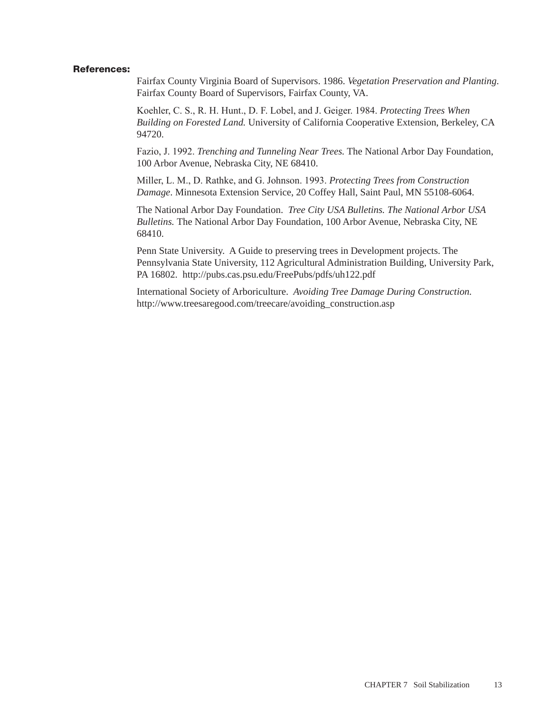#### References:

Fairfax County Virginia Board of Supervisors. 1986. *Vegetation Preservation and Planting*. Fairfax County Board of Supervisors, Fairfax County, VA.

Koehler, C. S., R. H. Hunt., D. F. Lobel, and J. Geiger. 1984. *Protecting Trees When Building on Forested Land.* University of California Cooperative Extension, Berkeley, CA 94720.

Fazio, J. 1992. *Trenching and Tunneling Near Trees.* The National Arbor Day Foundation, 100 Arbor Avenue, Nebraska City, NE 68410.

Miller, L. M., D. Rathke, and G. Johnson. 1993. *Protecting Trees from Construction Damage*. Minnesota Extension Service, 20 Coffey Hall, Saint Paul, MN 55108-6064.

The National Arbor Day Foundation. *Tree City USA Bulletins. The National Arbor USA Bulletins.* The National Arbor Day Foundation, 100 Arbor Avenue, Nebraska City, NE 68410.

Penn State University. A Guide to preserving trees in Development projects. The Pennsylvania State University, 112 Agricultural Administration Building, University Park, PA 16802. http://pubs.cas.psu.edu/FreePubs/pdfs/uh122.pdf

International Society of Arboriculture. *Avoiding Tree Damage During Construction.*  http://www.treesaregood.com/treecare/avoiding\_construction.asp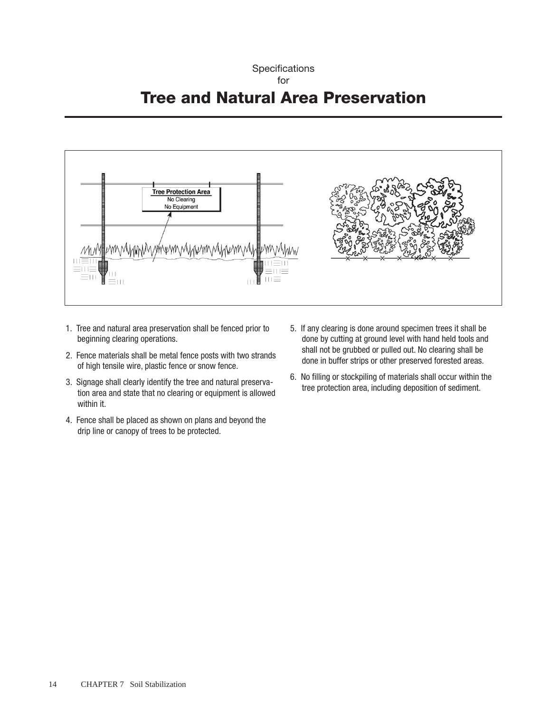# **Specifications** for





- 1. Tree and natural area preservation shall be fenced prior to beginning clearing operations.
- 2. Fence materials shall be metal fence posts with two strands of high tensile wire, plastic fence or snow fence.
- 3. Signage shall clearly identify the tree and natural preservation area and state that no clearing or equipment is allowed within it.
- 4. Fence shall be placed as shown on plans and beyond the drip line or canopy of trees to be protected.
- 5. If any clearing is done around specimen trees it shall be done by cutting at ground level with hand held tools and shall not be grubbed or pulled out. No clearing shall be done in buffer strips or other preserved forested areas.
- 6. No filling or stockpiling of materials shall occur within the tree protection area, including deposition of sediment.